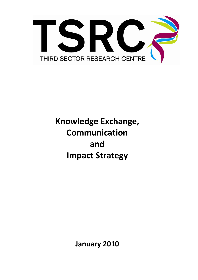

# **Knowledge Exchange, Communication and Impact Strategy**

**January 2010**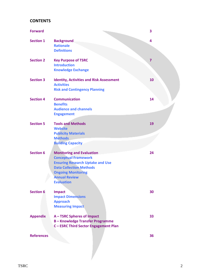# **CONTENTS**

| <b>Forward</b>    |                                                                                                                                        | 3              |
|-------------------|----------------------------------------------------------------------------------------------------------------------------------------|----------------|
| <b>Section 1</b>  | <b>Background</b><br><b>Rationale</b><br><b>Definitions</b>                                                                            | 4              |
| <b>Section 2</b>  | <b>Key Purpose of TSRC</b><br><b>Introduction</b><br><b>Knowledge Exchange</b>                                                         | $\overline{7}$ |
| <b>Section 3</b>  | <b>Identity, Activities and Risk Assessment</b><br><b>Activities</b><br><b>Risk and Contingency Planning</b>                           | 10             |
| <b>Section 4</b>  | <b>Communication</b><br><b>Benefits</b><br><b>Audience and channels</b><br><b>Engagement</b>                                           | 14             |
| <b>Section 5</b>  | <b>Tools and Methods</b><br><b>Website</b><br><b>Publicity Materials</b><br><b>Methods</b>                                             | 19             |
| <b>Section 6</b>  | <b>Building Capacity</b><br><b>Monitoring and Evaluation</b><br><b>Conceptual Framework</b><br><b>Ensuring Research Uptake and Use</b> | 24             |
|                   | <b>Data Collection Methods</b><br><b>Ongoing Monitoring</b><br><b>Annual Review</b><br><b>Evaluation</b>                               |                |
| <b>Section 6</b>  | <b>Impact</b><br><b>Impact Dimensions</b><br><b>Approach</b><br><b>Measuring Impact</b>                                                | 30             |
| <b>Appendix</b>   | A - TSRC Spheres of Impact<br><b>B-Knowledge Transfer Programme</b><br>C-ESRC Third Sector Engagement Plan                             | 33             |
| <b>References</b> |                                                                                                                                        | 36             |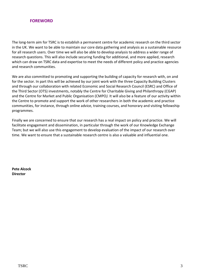# **FOREWORD**

The long-term aim for TSRC is to establish a permanent centre for academic research on the third sector in the UK. We want to be able to maintain our core data gathering and analysis as a sustainable resource for all research users. Over time we will also be able to develop analysis to address a wider range of research questions. This will also include securing funding for additional, and more applied, research which can draw on TSRC data and expertise to meet the needs of different policy and practice agencies and research communities.

We are also committed to promoting and supporting the building of capacity for research with, on and for the sector. In part this will be achieved by our joint work with the three Capacity Building Clusters and through our collaboration with related Economic and Social Research Council (ESRC) and Office of the Third Sector (OTS) investments, notably the Centre for Charitable Giving and Philanthropy (CGAP) and the Centre for Market and Public Organisation (CMPO*).* It will also be a feature of our activity within the Centre to promote and support the work of other researchers in both the academic and practice communities, for instance, through online advice, training courses, and honorary and visiting fellowship programmes.

Finally we are concerned to ensure that our research has a real impact on policy and practice. We will facilitate engagement and dissemination, in particular through the work of our Knowledge Exchange Team; but we will also use this engagement to develop evaluation of the impact of our research over time. We want to ensure that a sustainable research centre is also a valuable and influential one.

**Pete Alcock Director**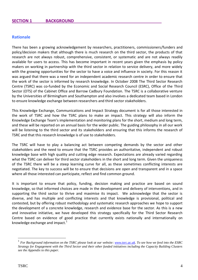## **Rationale**

There has been a growing acknowledgement by researchers, practitioners, commissioners/funders and policy/decision makers that although there is much research on the third sector, the products of that research are not always robust, comprehensive, consistent, or systematic and are not always readily available for users to access. This has become important in recent years given the emphasis by policy makers on working in partnership with the third sector in relation to service delivery, and more widely with the growing opportunities for the sector to have a voice and influence in society. For this reason it was argued that there was a need for an independent academic research centre in order to ensure that the work of the sector is informed by research knowledge. In October 2008 The Third Sector Research Centre (TSRC) was co-funded by the Economic and Social Research Council (ESRC), Office of the Third Sector (OTS) of the Cabinet Office and Barrow Cadbury Foundation. The TSRC is a collaborative venture by the Universities of Birmingham and Southampton and also involves a dedicated team based in London to ensure knowledge exchange between researchers and third sector stakeholders.

This Knowledge Exchange, Communications and Impact Strategy document is for all those interested in the work of TSRC and how the TSRC plans to make an impact. This strategy will also inform the Knowledge Exchange Team's implementation and monitoring plans for the short, medium and long term, and these will be reported on an annual basis for the wider public. The guiding philosophy in all our work will be listening to the third sector and its stakeholders and ensuring that this informs the research of TSRC and that this research knowledge is of use to stakeholders.

The TSRC will have to play a balancing act between competing demands by the sector and other stakeholders and the need to ensure that the TSRC provides an authoritative, independent and robust knowledge base with high quality and cutting edge research. Expectations are already varied regarding what the TSRC can deliver for third sector stakeholders in the short and long term. Given the uniqueness of the TSRC there will be a steep learning curve for all, as these sometimes conflicting interests are negotiated. The key to success will be to ensure that decisions are open and transparent and in a space where all those interested can participate, reflect and find common ground.

It is important to ensure that policy, funding, decision making and practice are based on sound knowledge, so that informed choices are made in the development and delivery of interventions, and in supporting the third sector to thrive and maximise its impact. We acknowledge that the sector is diverse, and has multiple and conflicting interests and that knowledge is provisional, political and contested, but by offering robust methodology and systematic research approaches we hope to support the development of a concrete knowledge, research and evidence base for the sector. As this is a new and innovative initiative, we have developed this strategy specifically for the Third Sector Research Centre based on evidence of good practice that currently exists nationally and internationally on knowledge exchange and impact.<sup>1</sup>

1

<sup>&</sup>lt;sup>1</sup> For Background information on the TSRC please look at our website[: www.tsrc.ac.uk.](http://www.tsrc.ac.uk/) To see how we feed into the ESRC *Strategy for Engagement with the Third Sector and their other funded initiatives including the Capacity Building Clusters see the Appendix to this paper.*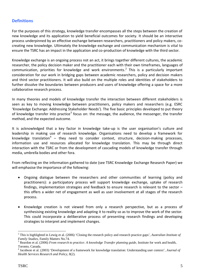# **Definitions**

For the purposes of this strategy, knowledge transfer encompasses all the steps between the creation of new knowledge and its application to yield beneficial outcomes for society. It should be an interactive process underpinned by an effective exchange between researchers, practitioners and policy makers, cocreating new knowledge. Ultimately the knowledge exchange and communication mechanism is vital to ensure the TSRC has an impact in the application and co-production of knowledge with the third sector.

Knowledge exchange is an ongoing process not an act, it brings together different cultures, the academic researcher, the policy decision maker and the practitioner each with their own timeframes, languages of communication, priorities for knowledge and work environments.<sup>2</sup> This is a particularly important consideration for our work in bridging gaps between academic researchers, policy and decision makers and third sector practitioners. It will also build on the multiple roles and identities of stakeholders to further dissolve the boundaries between producers and users of knowledge offering a space for a more collaborative research process.

In many theories and models of knowledge transfer the interaction between different stakeholders is seen as key to moving knowledge between practitioners, policy makers and researchers (e.g. ESRC 'Knowledge Exchange: Addressing Stakeholder Needs'). The five basic principles developed to put theory of knowledge transfer into practice<sup>3</sup> focus on: the message, the audience, the messenger, the transfer method, and the expected outcome.

It is acknowledged that a key factor in knowledge take-up is the user organisation's culture and leadership in making use of research knowledge. Organisations need to develop a framework for knowledge translation<sup>4</sup> – they need to consider context, structure, decision-making processes, information use and resources allocated for knowledge translation. This may be through direct interaction with the TSRC or from the development of cascading models of knowledge transfer through media, umbrella bodies and other fora.

From reflecting on the information gathered to date (see TSRC Knowledge Exchange Research Paper) we will emphasise the importance of the following:

- Ongoing dialogue between the researchers and other communities of learning (policy and practitioners): a participatory process will support knowledge exchange, uptake of research findings, implementation strategies and feedback to ensure research is relevant to the sector – this offers a wider net of engagement as well as user involvement at all stages of the research process.
- Knowledge creation is not viewed from only a research perspective, but as a process of synthesising existing knowledge and adapting it to reality so as to improve the work of the sector. This could incorporate a deliberative process of presenting research findings and developing strategies to interpret and implement changes.

<sup>1</sup> <sup>2</sup> This is highlighted in Lewig et al. (2006) 'Closing the research policy and research practice gaps', *Australian Institute of Family Studies*, Family Matters No.74.

<sup>&</sup>lt;sup>3</sup> Reardon et al. (2006) *From research to practice: A knowledge Transfer planning guide*, Institute for work and health, Toronto, Canada.

<sup>4</sup> Jacobson et al. (2003) 'Development of a framework for knowledge translation: Understanding user context', *Journal of Health Services Research and Policy*, 8(2).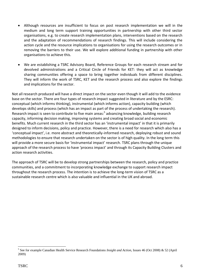- Although resources are insufficient to focus on post research implementation we will in the medium and long term support training opportunities in partnership with other third sector organisations, e.g. to create research implementation plans, interventions based on the research and the adaptation of recommendations of research findings. This will include considering the action cycle and the resource implications to organisations for using the research outcomes or in removing the barriers to their use. We will explore additional funding in partnership with other organisations to achieve this.
- We are establishing a TSRC Advisory Board, Reference Groups for each research stream and for devolved administrations and a Critical Circle of Friends for KET: they will act as knowledge sharing communities offering a space to bring together individuals from different disciplines. They will inform the work of TSRC, KET and the research process and also explore the findings and implications for the sector.

Not all research produced will have a direct impact on the sector even though it will add to the evidence base on the sector. There are four types of research impact suggested in literature and by the ESRC: conceptual (which informs thinking), instrumental (which informs action), capacity building (which develops skills) and process (which has an impact as part of the process of undertaking the research). Research impact is seen to contribute to five main areas:<sup>5</sup> advancing knowledge, building research capacity, informing decision making, improving systems and creating broad social and economic benefits. Much current research in the third sector has an 'instrumental impact' in that it is primarily designed to inform decisions, policy and practice. However, there is a need for research which also has a 'conceptual impact', i.e. more abstract and theoretically-informed research, deploying robust and sound methodologies to ensure that research undertaken on the sector is of high quality. In the long term this will provide a more secure basis for 'instrumental impact' research. TSRC plans through the unique approach of the research process to have 'process impact' and through its Capacity Building Clusters and action research activities.

The approach of TSRC will be to develop strong partnerships between the research, policy and practice communities, and a commitment to incorporating knowledge exchange to support research impact throughout the research process. The intention is to achieve the long-term vision of TSRC as a sustainable research centre which is also valuable and influential in the UK and abroad.

<sup>1</sup> 5 See for example Canadian Health Service Research Foundations *Insight and Action,* Issues 46 (Oct 2008) & 52 (April 2009)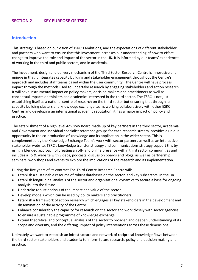## **Introduction**

This strategy is based on our vision of TSRC's ambitions, and the expectations of different stakeholder and partners who want to ensure that this investment increases our understanding of how to effect change to improve the role and impact of the sector in the UK. It is informed by our teams' experiences of working in the third and public sectors, and in academia.

The investment, design and delivery mechanism of the Third Sector Research Centre is innovative and unique in that it integrates capacity building and stakeholder engagement throughout the Centre's approach and includes staff teams based within the user community. The Centre will have process impact through the methods used to undertake research by engaging stakeholders and action research. It will have instrumental impact on policy makers, decision makers and practitioners as well as conceptual impacts on thinkers and academics interested in the third sector. The TSRC is not just establishing itself as a national centre of research on the third sector but ensuring that through its capacity building clusters and knowledge exchange team, working collaboratively with other ESRC Centres and developing an international academic reputation, it has a major impact on policy and practice.

The establishment of a high level Advisory Board made up of key partners in the third sector, academia and Government and individual specialist reference groups for each research stream, provides a unique opportunity in the co-production of knowledge and its application in the wider sector. This is complemented by the Knowledge Exchange Team's work with sector partners as well as an interactive stakeholder website. TSRC's knowledge transfer strategy and communications strategy support this by using a blended approach of creating an off- and online presence within third sector communities and includes a TSRC website with videos, podcasts, discussion boards and blogs, as well as partnership seminars, workshops and events to explore the implications of the research and its implementation.

During the five years of its contract The Third Centre Research Centre will:

- Establish a sustainable resource of robust databases on the sector, and key subsectors, in the UK
- Establish longitudinal analysis of the sector and organisational dynamics to secure a base for ongoing analysis into the future
- Undertake robust analysis of the impact and value of the sector
- Develop models which can be used by policy makers and practitioners
- Establish a framework of action research which engages all key stakeholders in the development and dissemination of the activity of the Centre
- Enhance considerably the capacity for research on the sector and work closely with sector agencies to ensure a sustainable programme of knowledge exchange
- Extend theoretical and conceptual analysis of the sector to broaden and deepen understanding of its scope and diversity, and the differing impact of policy interventions across these dimensions.

Ultimately we want to establish an infrastructure and network of reciprocal knowledge flows between the third sector stakeholders and academia to inform future research, policy and decision making and practice.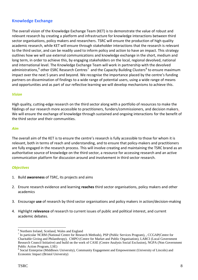# **Knowledge Exchange**

The overall vision of the Knowledge Exchange Team (KET) is to demonstrate the value of robust and relevant research by creating a platform and infrastructure for knowledge interactions between third sector organisations, policy makers and researchers. TSRC will ensure the production of high quality academic research, while KET will ensure through stakeholder interactions that the research is relevant to the third sector, and can be readily used to inform policy and action to have an impact. This strategy outlines how we will use external communications and knowledge exchange in the short, medium and long term, in order to achieve this, by engaging stakeholders on the local, regional devolved, national and international level. The Knowledge Exchange Team will work in partnership with the devolved administrations,<sup>6</sup> other ESRC Research Centres<sup>7</sup> and the Capacity Building Clusters<sup>8</sup> to ensure maximum impact over the next 5 years and beyond. We recognise the importance placed by the centre's funding partners on dissemination of findings to a wide range of potential users, using a wide range of means and opportunities and as part of our reflective learning we will develop mechanisms to achieve this.

## *Vision*

High quality, cutting-edge research on the third sector along with a portfolio of resources to make the findings of our research more accessible to practitioners, funders/commissioners, and decision makers. We will ensure the exchange of knowledge through sustained and ongoing interactions for the benefit of the third sector and their communities.

#### *Aim*

The overall aim of the KET is to ensure the centre's research is fully accessible to those for whom it is relevant, both in terms of reach and understanding, and to ensure that policy-makers and practitioners are fully engaged in the research process. This will involve creating and maintaining the TSRC brand as an authoritative source of knowledge on the third sector, a resource for accessing research and an active communication platform for discussion around and involvement in third sector research.

## *Objectives*

- 1. Build **awareness** of TSRC, its projects and aims
- 2. Ensure research evidence and learning **reaches** third sector organisations, policy makers and other academics
- 3. Encourage **use** of research by third sector organisations and policy makers in action/decision-making
- 4. Highlight **relevance** of research to current issues of public and political interest, and current academic debates.

1

<sup>6</sup> Northern Ireland, Scotland, Wales and England

<sup>&</sup>lt;sup>7</sup> In particular NCRM (National Centre for Research Methods), PSP (Public Services Program), , CCGAP(Centre for Charitable Giving and Philanthropy), CMPO (Centre for Market and Public Organisation), LARCI (Local Government Research Council Initiative) and build on the work of CASE (Centre Analysis Social Exclusion), NGPA (Non Government Public Action Program, LSE)

<sup>&</sup>lt;sup>8</sup> Social Enterprise (Middlesex University), Community Engagement and Empowerment (University of Lincoln) and Economic Impact (Bristol University)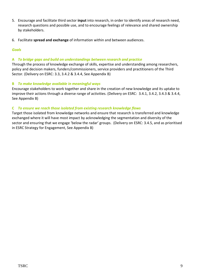- 5. Encourage and facilitate third sector **input** into research, in order to identify areas of research need, research questions and possible use, and to encourage feelings of relevance and shared ownership by stakeholders.
- 6. Facilitate **spread and exchange** of information within and between audiences.

## *Goals*

## **A** *To bridge gaps and build on understandings between research and practice*

Through the process of knowledge exchange of skills, expertise and understanding among researchers, policy and decision makers, funders/commissioners, service providers and practitioners of the Third Sector. (Delivery on ESRC: 3.3, 3.4.2 & 3.4.4, See Appendix B)

## **B** *To make knowledge available in meaningful ways*

Encourage stakeholders to work together and share in the creation of new knowledge and its uptake to improve their actions through a diverse range of activities. (Delivery on ESRC: 3.4.1, 3.4.2, 3.4.3 & 3.4.4, See Appendix B)

## **C** *To ensure we reach those isolated from existing research knowledge flows*

Target those isolated from knowledge networks and ensure that research is transferred and knowledge exchanged where it will have most impact by acknowledging the segmentation and diversity of the sector and ensuring that we engage 'below the radar' groups. (Delivery on ESRC: 3.4.5, and as prioritised in ESRC Strategy for Engagement, See Appendix B)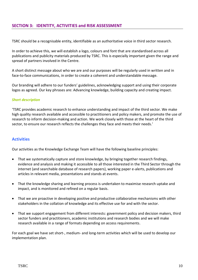## **SECTION 3: IDENTITY, ACTIVITIES and RISK ASSESSMENT**

TSRC should be a recognisable entity, identifiable as an authoritative voice in third sector research.

In order to achieve this, we will establish a logo, colours and font that are standardised across all publications and publicity materials produced by TSRC. This is especially important given the range and spread of partners involved in the Centre.

A short distinct message about who we are and our purposes will be regularly used in written and in face-to-face communications, in order to create a coherent and understandable message.

Our branding will adhere to our funders' guidelines, acknowledging support and using their corporate logos as agreed. Our key phrases are: Advancing knowledge, building capacity and creating impact.

#### *Short description*

'TSRC provides academic research to enhance understanding and impact of the third sector. We make high quality research available and accessible to practitioners and policy makers, and promote the use of research to inform decision-making and action. We work closely with those at the heart of the third sector, to ensure our research reflects the challenges they face and meets their needs.'

## **Activities**

Our activities as the Knowledge Exchange Team will have the following baseline principles:

- That we systematically capture and store knowledge, by bringing together research findings, evidence and analysis and making it accessible to all those interested in the Third Sector through the internet (and searchable database of research papers), working paper e-alerts, publications and articles in relevant media, presentations and stands at events.
- That the knowledge sharing and learning process is undertaken to maximise research uptake and impact, and is monitored and refined on a regular basis.
- That we are proactive in developing positive and productive collaborative mechanisms with other stakeholders in the collation of knowledge and its effective use for and with the sector.
- That we support engagement from different interests: government policy and decision makers, third sector funders and practitioners, academic institutions and research bodies and we will make research available in a range of formats depending on access requirements.

For each goal we have set short-, medium- and long-term activities which will be used to develop our implementation plan.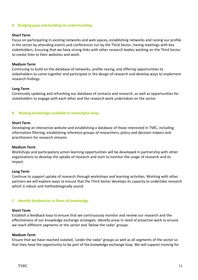#### **A Bridging gaps and building on understanding**

#### **Short Term**

Focus on participating in existing networks and web spaces, establishing networks and raising our profile in the sector by attending events and conferences run by the Third Sector; having meetings with key stakeholders; Ensuring that we have strong links with other research bodies working on the Third Sector to create links to their websites and work.

#### **Medium Term**

Continuing to build on the database of networks, profile raising, and offering opportunities to stakeholders to come together and participate in the design of research and develop ways to implement research findings.

#### **Long Term**

Continually updating and refreshing our database of contacts and research, as well as opportunities for stakeholders to engage with each other and the research work undertaken on the sector.

#### **B Making knowledge available in meaningful ways**

#### **Short Term**

Developing an interactive website and establishing a database of those interested in TSRC, including information filtering; establishing reference groups of researchers, policy and decision makers and practitioners for research streams

#### **Medium Term**

Workshops and participatory action learning opportunities will be developed in partnership with other organisations to develop the uptake of research and start to monitor the usage of research and its impact.

#### **Long Term**

Continue to support uptake of research through workshops and learning activities. Working with other partners we will explore ways to ensure that the Third Sector develops its capacity to undertake research which is robust and methodologically sound.

#### **C Identify bottlenecks in flows of knowledge**

#### **Short Term**

Establish a feedback loop to ensure that we continuously monitor and review our research and the effectiveness of our knowledge exchange strategies. Identify areas in need of proactive work to ensure we reach different segments or the sector and 'below the radar' groups.

#### **Medium Term**

Ensure that we have reached isolated, 'under the radar' groups as well as all segments of the sector so that they have the opportunity to be part of the knowledge exchange loop. We will support training for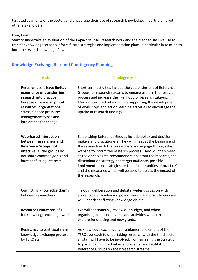targeted segments of the sector, and encourage their use of research knowledge, in partnership with other stakeholders.

## **Long Term**

Start to undertake an evaluation of the impact of TSRC research work and the mechanisms we use to transfer knowledge so as to inform future strategies and implementation plans in particular in relation to bottlenecks and knowledge flows

# **Knowledge Exchange Risk and Contingency Planning**

| <b>Risk</b>                                                                                                                                                                                                                      | <b>Contingency</b>                                                                                                                                                                                                                                                                                                                                                                                                                                                                                                          |  |  |
|----------------------------------------------------------------------------------------------------------------------------------------------------------------------------------------------------------------------------------|-----------------------------------------------------------------------------------------------------------------------------------------------------------------------------------------------------------------------------------------------------------------------------------------------------------------------------------------------------------------------------------------------------------------------------------------------------------------------------------------------------------------------------|--|--|
| Research users have limited<br>experience of transferring<br>research into practice<br>because of leadership, staff<br>resources, organisational<br>stress, finance pressures,<br>management types and<br>intolerance for change | Short-term activities include the establishment of Reference<br>Groups for research streams to engage users in the research<br>process and increase the likelihood of research take-up.<br>Medium-term activities include supporting the development<br>of workshops and action learning activities to encourage the<br>uptake of research findings                                                                                                                                                                         |  |  |
| <b>Web-based interaction</b><br>between researchers and<br><b>Reference Groups not</b><br>effective, as the groups do<br>not share common goals and<br>have conflicting interests                                                | Establishing Reference Groups include policy and decision<br>makers and practitioners. They will meet at the beginning of<br>the research with the researchers and engage through the<br>website to inform the research process. They will then meet<br>at the end to agree recommendations from the research, the<br>dissemination strategy and target audience, possible<br>implementation strategies for their 'communities of practice'<br>and the measures which will be used to assess the impact of<br>the research. |  |  |
| <b>Conflicting knowledge claims</b><br>between researchers                                                                                                                                                                       | Through deliberation and debate, wider discussion with<br>stakeholders, academics, policy makers and practitioners we<br>will unpack conflicting knowledge claims.                                                                                                                                                                                                                                                                                                                                                          |  |  |
| <b>Resource Limitations of TSRC</b><br>for knowledge exchange work                                                                                                                                                               | We will continuously review our budget, and when<br>organising additional events and activities with partners<br>explore fundraising and new grants.                                                                                                                                                                                                                                                                                                                                                                        |  |  |
| Resistance to participating in<br>knowledge exchange process<br>by TSRC staff                                                                                                                                                    | As knowledge exchange is a fundamental element of the<br>TSRC approach to undertaking research with the third sector<br>all staff will have to be involved, from agreeing the Strategy<br>to participating in activities and events, and facilitating<br>Reference Groups on their research streams.                                                                                                                                                                                                                        |  |  |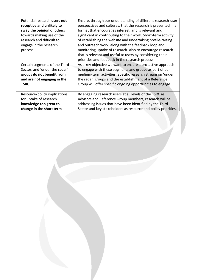| Potential research users not<br>receptive and unlikely to<br>sway the opinion of others<br>towards making use of the<br>research and difficult to<br>engage in the research<br>process | Ensure, through our understanding of different research-user<br>perspectives and cultures, that the research is presented in a<br>format that encourages interest, and is relevant and<br>significant in contributing to their work. Short-term activity<br>of establishing the website and undertaking profile-raising<br>and outreach work, along with the feedback loop and<br>monitoring uptake of research. Also to encourage research<br>that is relevant and useful to users by considering their<br>priorities and feedback in the research process. |
|----------------------------------------------------------------------------------------------------------------------------------------------------------------------------------------|--------------------------------------------------------------------------------------------------------------------------------------------------------------------------------------------------------------------------------------------------------------------------------------------------------------------------------------------------------------------------------------------------------------------------------------------------------------------------------------------------------------------------------------------------------------|
| Certain segments of the Third                                                                                                                                                          | As a key objective we want to ensure a pro-active approach                                                                                                                                                                                                                                                                                                                                                                                                                                                                                                   |
| Sector, and 'under the radar'                                                                                                                                                          | to engage with these segments and groups as part of our                                                                                                                                                                                                                                                                                                                                                                                                                                                                                                      |
| groups do not benefit from                                                                                                                                                             | medium-term activities. Specific research stream on 'under                                                                                                                                                                                                                                                                                                                                                                                                                                                                                                   |
| and are not engaging in the                                                                                                                                                            | the radar' groups and the establishment of a Reference                                                                                                                                                                                                                                                                                                                                                                                                                                                                                                       |
| <b>TSRC</b>                                                                                                                                                                            | Group will offer specific ongoing opportunities to engage.                                                                                                                                                                                                                                                                                                                                                                                                                                                                                                   |
| Resource/policy implications                                                                                                                                                           | By engaging research users at all levels of the TSRC as                                                                                                                                                                                                                                                                                                                                                                                                                                                                                                      |
| for uptake of research                                                                                                                                                                 | Advisors and Reference Group members, research will be                                                                                                                                                                                                                                                                                                                                                                                                                                                                                                       |
| knowledge too great to                                                                                                                                                                 | addressing issues that have been identified by the Third                                                                                                                                                                                                                                                                                                                                                                                                                                                                                                     |
| change in the short term                                                                                                                                                               | Sector and key stakeholders as resource and policy priorities.                                                                                                                                                                                                                                                                                                                                                                                                                                                                                               |

TSRC 13 Andrew 13 Andrew 13 Andrew 13 Andrew 13 Andrew 13 Andrew 13 Andrew 13 Andrew 13 Andrew 13 Andrew 13 An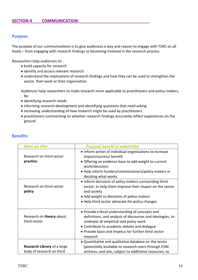## **Purpose**

The purpose of our communications is to give audiences a way and reason to engage with TSRC on all levels – from engaging with research findings to becoming involved in the research process.

Researchers help audiences to:

- build capacity for research
- identify and access relevant research
- understand the implications of research findings and how they can be used to strengthen the sector, their work or their organisation

Audiences help researchers to make research more applicable to practitioners and policy-makers, by:

- identifying research needs
- informing research development and identifying questions that need asking
- increasing understanding of how research might be used by practitioners
- practitioners commenting on whether research findings accurately reflect experiences on the ground

| <b>What we offer</b>                     | <b>Purpose/ benefit to stakeholder</b>                                                                                                                                                                                                                                       |
|------------------------------------------|------------------------------------------------------------------------------------------------------------------------------------------------------------------------------------------------------------------------------------------------------------------------------|
| Research on third sector<br>practice     | • Inform action of individual organisations to increase<br>impact/success/ benefit<br>• Offering an evidence base to add weight to current<br>work/decisions<br>• Help inform funders/commissioners/policy-makers in<br>deciding what works                                  |
| Research on third sector<br>policy       | • Inform decisions of policy-makers surrounding third<br>sector, to help them improve their impact on the sector<br>and society<br>• Add weight to decisions of policy-makers<br>• Help third sector advocate for policy changes                                             |
| Research on theory about<br>third sector | • Provide critical understanding of concepts and<br>definitions, and analysis of discourses and ideologies, to<br>underpin all empirical and policy work<br>• Contribute to academic debate and dialogue<br>• Provide basis and impetus for further third sector<br>research |
| Research Library of a large              | • Quantitative and qualitative database on the sector<br>(potentially available to research users through ESRC                                                                                                                                                               |
| body of research on third                | archives, and aim, subject to additional resources, to                                                                                                                                                                                                                       |

## **Benefits**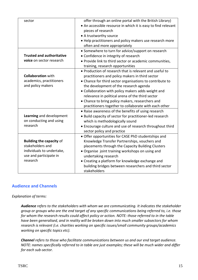| sector                           | offer through an online portal with the British Library)      |  |  |
|----------------------------------|---------------------------------------------------------------|--|--|
|                                  | • An accessible resource in which it is easy to find relevant |  |  |
|                                  | pieces of research                                            |  |  |
|                                  | • A trustworthy source                                        |  |  |
|                                  | • Help practitioners and policy makers use research more      |  |  |
|                                  | often and more appropriately                                  |  |  |
|                                  | • Somewhere to turn for advice/support on research            |  |  |
| <b>Trusted and authoritative</b> | • Confidence in integrity of research                         |  |  |
| voice on sector research         | . Provide link to third sector or academic communities,       |  |  |
|                                  | training, research opportunities                              |  |  |
|                                  | • Production of research that is relevant and useful to       |  |  |
| <b>Collaboration with</b>        | practitioners and policy makers in third sector               |  |  |
| academics, practitioners         | • Chance for third sector organisations to contribute to      |  |  |
| and policy makers                | the development of the research agenda                        |  |  |
|                                  | • Collaboration with policy makers adds weight and            |  |  |
|                                  | relevance in political arena of the third sector              |  |  |
|                                  | • Chance to bring policy makers, researchers and              |  |  |
|                                  | practitioners together to collaborate with each other         |  |  |
|                                  | • Raise awareness of the benefits of using research           |  |  |
| Learning and development         | · Build capacity of sector for practitioner-led research      |  |  |
| on conducting and using          | which is methodologically sound                               |  |  |
| research                         | • Encourage culture and use of research throughout third      |  |  |
|                                  | sector policy and practice                                    |  |  |
|                                  | • Offer opportunities for CASE PhD studentships and           |  |  |
| <b>Building the capacity of</b>  | Knowledge Transfer Partnerships, vouchers and                 |  |  |
| stakeholders and                 | placements through the Capacity Building Clusters             |  |  |
| individuals to undertake,        | • Organise joint training workshops on using and              |  |  |
| use and participate in           | undertaking research                                          |  |  |
| research                         | • Creating a platform for knowledge exchange and              |  |  |
|                                  | building bridges between researchers and third sector         |  |  |
|                                  | stakeholders                                                  |  |  |

# **Audience and Channels**

## *Explanation of terms:*

*Audience refers to the stakeholders with whom we are communicating. It indicates the stakeholder group or groups who are the end target of any specific communications being referred to, i.e. those for whom the research results could affect policy or action. NOTE: those referred to in the table have been generalised, and in reality will be broken down into much smaller subsectors for whom research is relevant (i.e. charities working on specific issues/small community groups/academics working on specific topics etc).*

*Channel refers to those who facilitate communications between us and our end target audience. NOTE: names specifically referred to in table are just examples; these will be much wider and differ for each sub-sector.*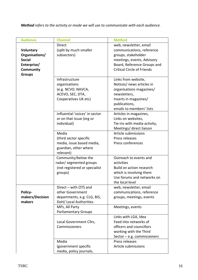*Method refers to the activity or mode we will use to communicate with each audience.*

| <b>Audience</b> | <b>Channel</b>                 | <b>Method</b>                     |
|-----------------|--------------------------------|-----------------------------------|
|                 | <b>Direct</b>                  | web, newsletter, email            |
| Voluntary       | (split by much smaller         | communications, reference         |
| Organisations/  | subsectors)                    | groups, stakeholder               |
| <b>Social</b>   |                                |                                   |
|                 |                                | meetings, events, Advisory        |
| Enterprise/     |                                | Board, Reference Groups and       |
| Community       |                                | <b>Critical Circle of Friends</b> |
| <b>Groups</b>   |                                |                                   |
|                 | Infrastructure                 | Links from website,               |
|                 | organisations                  | Notices/ news articles in         |
|                 | (e.g. NCVO, NAVCA,             | organisations magazines/          |
|                 | ACEVO, SEC, DTA,               | newsletters,                      |
|                 | Cooperatives UK etc)           | Inserts in magazines/             |
|                 |                                | publications,                     |
|                 |                                | emails to members' lists          |
|                 | Influential 'voices' in sector | Articles in magazines,            |
|                 | or on that issue (org or       | Links on websites,                |
|                 | individual)                    | Tie-ins with media activity,      |
|                 |                                | Meetings/ direct liaison          |
|                 | Media                          | Article submissions               |
|                 |                                |                                   |
|                 | (third sector specific         | Press releases                    |
|                 | media, issue based media,      | Press conferences                 |
|                 | guardian, other where          |                                   |
|                 | relevant)                      |                                   |
|                 | Community/below the            | Outreach to events and            |
|                 | radar/ segmented groups        | activities                        |
|                 | (not registered or specialist  | Build on action research          |
|                 | groups)                        | which is involving them           |
|                 |                                | Use forums and networks on        |
|                 |                                | the local level                   |
|                 | Direct - with OTS and          | web, newsletter, email            |
| Policy-         | other Government               | communications, reference         |
| makers/Decision | departments, e.g. CLG, BIS,    | groups, meetings, events          |
| makers          | DoH/ Local Authorities         |                                   |
|                 | MPs, All Party                 | Meetings, events                  |
|                 | <b>Parliamentary Groups</b>    |                                   |
|                 |                                | Links with LGA, Idea              |
|                 | Local Government Cllrs,        | Feed into networks of             |
|                 | Commissioners                  | officers and councillors          |
|                 |                                |                                   |
|                 |                                | working with the Third            |
|                 |                                | Sector $-$ e.g. commissioners     |
|                 | Media                          | Press releases                    |
|                 | (government specific           | Article submissions               |
|                 | media, policy journals,        |                                   |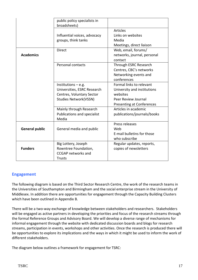|                       | public policy specialists in<br>broadsheets)                                                                      |                                                                                                                                |
|-----------------------|-------------------------------------------------------------------------------------------------------------------|--------------------------------------------------------------------------------------------------------------------------------|
|                       | Influential voices, advocacy<br>groups, think tanks                                                               | <b>Articles</b><br>Links on websites<br>Media<br>Meetings, direct liaison                                                      |
| <b>Academics</b>      | <b>Direct</b>                                                                                                     | Web, email, forums/<br>networks, journal, personal<br>contact                                                                  |
|                       | <b>Personal contacts</b>                                                                                          | Through ESRC Research<br>Centres, CBC's networks<br>Networking events and<br>conferences                                       |
|                       | Institutions $-$ e.g.<br>Universities, ESRC Research<br>Centres, Voluntary Sector<br><b>Studies Network(VSSN)</b> | Formal links to relevant<br>University and institutions<br>websites<br>Peer Review Journal<br><b>Presenting at Conferences</b> |
|                       | Mainly through Research<br>Publications and specialist<br>Media                                                   | Articles in academic<br>publications/journals/books                                                                            |
| <b>General public</b> | General media and public                                                                                          | Press releases<br>Web<br>E-mail bulletins for those<br>who subscribe                                                           |
| <b>Funders</b>        | Big Lottery, Joseph<br>Rowntree Foundation,<br><b>CCGAP</b> networks and<br><b>Trusts</b>                         | Regular updates, reports,<br>copies of newsletters                                                                             |

# **Engagement**

The following diagram is based on the Third Sector Research Centre, the work of the research teams in the Universities of Southampton and Birmingham and the social enterprise stream in the University of Middlesex. In addition there are opportunities for engagement through the Capacity Building Clusters which have been outlined in Appendix B.

There will be a two-way exchange of knowledge between stakeholders and researchers. Stakeholders will be engaged as active partners in developing the priorities and focus of the research streams through the formal Reference Groups and Advisory Board. We will develop a diverse range of mechanisms for informal engagement through the website with dedicated discussion boards and blogs for research streams, participation in events, workshops and other activities. Once the research is produced there will be opportunities to explore its implications and the ways in which it might be used to inform the work of different stakeholders.

The diagram below outlines a framework for engagement for TSRC: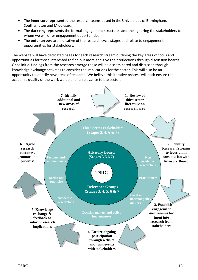- The **inner core** represented the research teams based in the Universities of Birmingham, Southampton and Middlesex.
- The **dark ring** represents the formal engagement structures and the light ring the stakeholders to whom we will offer engagement opportunities.
- The **outer arrows** are indicative of the research cycle stages and relate to engagement opportunities for stakeholders.

The website will have dedicated pages for each research stream outlining the key areas of focus and opportunities for those interested to find out more and give their reflections through discussion boards. Once initial findings from the research emerge these will be disseminated and discussed through knowledge exchange activities to consider the implications for the sector. This will also be an opportunity to identify new areas of research. We believe this iterative process will both ensure the academic quality of the work we do and its relevance to the sector.

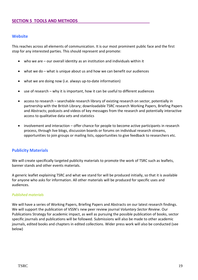## **Website**

This reaches across all elements of communication. It is our most prominent public face and the first stop for any interested parties. This should represent and promote:

- who we are our overall identity as an institution and individuals within it
- what we do what is unique about us and how we can benefit our audiences
- what we are doing now (i.e. always up-to-date information)
- use of research why it is important, how it can be useful to different audiences
- access to research searchable research library of existing research on sector, potentially in partnership with the British Library; downloadable TSRC research Working Papers, Briefing Papers and Abstracts; podcasts and videos of key messages from the research and potentially interactive access to qualitative data sets and statistics
- involvement and interaction offer chance for people to become active participants in research process, through live blogs, discussion boards or forums on individual research streams, opportunities to join groups or mailing lists, opportunities to give feedback to researchers etc.

## **Publicity Materials**

We will create specifically targeted publicity materials to promote the work of TSRC such as leaflets, banner stands and other events materials.

A generic leaflet explaining TSRC and what we stand for will be produced initially, so that it is available for anyone who asks for information. All other materials will be produced for specific uses and audiences.

#### *Published materials*

We will have a series of Working Papers, Briefing Papers and Abstracts on our latest research findings. We will support the publication of VSSN's new peer review journal *Voluntary Sector Review*. Our Publications Strategy for academic impact, as well as pursuing the possible publication of books, sector specific journals and publications will be followed. Submissions will also be made to other academic journals, edited books and chapters in edited collections. Wider press work will also be conducted (see below)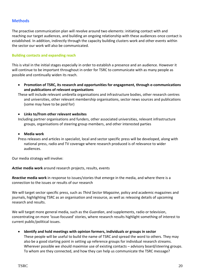# **Methods**

The proactive communication plan will revolve around two elements: initiating contact with and reaching our target audiences, and building an ongoing relationship with these audiences once contact is established. In addition, indirectly through the capacity building clusters work and other events within the sector our work will also be communicated.

#### **Building contacts and expanding reach**

This is vital in the initial stages especially in order to establish a presence and an audience. However it will continue to be important throughout in order for TSRC to communicate with as many people as possible and continually widen its reach.

 **Promotion of TSRC, its research and opportunities for engagement, through e-communications and publications of relevant organisations**

These will include relevant umbrella organisations and infrastructure bodies, other research centres and universities, other relevant membership organisations, sector news sources and publications (some may have to be paid for)

#### **Links to/from other relevant websites**

Including partner organisations and funders, other associated universities, relevant infrastructure groups, organisations of steering group members, and other interested parties

#### **Media work**

Press releases and articles in specialist, local and sector specific press will be developed, along with national press, radio and TV coverage where research produced is of relevance to wider audiences.

Our media strategy will involve:

*Active* **media work** around research projects, results, events

*Reactive* **media work** in response to issues/stories that emerge in the media, and where there is a connection to the issues or results of our research

We will target sector specific press, such as *Third Sector Magazine*, policy and academic magazines and journals, highlighting TSRC as an organisation and resource, as well as releasing details of upcoming research and results.

We will target more general media, such as the *Guardian*, and supplements, radio or television, concentrating on more 'issue-focused' stories, where research results highlight something of interest to current public/political issues.

**Identify and hold meetings with opinion formers, individuals or groups in sector**

These people will be useful to build the name of TSRC and spread the word to others. They may also be a good starting point in setting up reference groups for individual research streams. Wherever possible we should maximise use of existing contacts – advisory board/steering groups. To whom are they connected, and how they can help us communicate the TSRC message?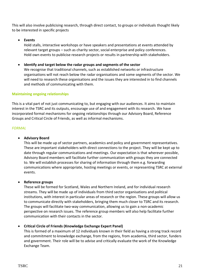This will also involve publicising research, through direct contact, to groups or individuals thought likely to be interested in specific projects

# **Events**

Hold stalls, interactive workshops or have speakers and presentations at events attended by relevant target groups – such as charity sector, social enterprise and policy conferences. Hold own events to publicise research projects or results in partnership with stakeholders.

# **Identify and target below the radar groups and segments of the sector**

We recognise that traditional channels, such as established networks or infrastructure organisations will not reach below the radar organisations and some segments of the sector. We will need to research these organisations and the issues they are interested in to find channels and methods of communicating with them.

## **Maintaining ongoing relationships**

This is a vital part of not just communicating to, but engaging with our audiences. It aims to maintain interest in the TSRC and its outputs, encourage use of and engagement with its research. We have incorporated formal mechanisms for ongoing relationships through our Advisory Board, Reference Groups and Critical Circle of Friends, as well as informal mechanisms.

## *FORMAL*

## **Advisory Board**

This will be made up of sector partners, academics and policy and government representatives. These are important stakeholders with direct connections to the project. They will be kept up to date through regular communications and meetings. Our expectation is that wherever possible, Advisory Board members will facilitate further communication with groups they are connected to. We will establish processes for sharing of information through them e.g. forwarding communications where appropriate, hosting meetings or events, or representing TSRC at external events.

## **Reference groups**

These will be formed for Scotland, Wales and Northern Ireland, and for individual research streams. They will be made up of individuals from third sector organisations and political institutions, with interest in particular areas of research or the region. These groups will allow us to communicate directly with stakeholders, bringing them much closer to TSRC and its research. The groups will facilitate two-way communication, allowing us to gain a non-academic perspective on research issues. The reference group members will also help facilitate further communication with their contacts in the sector.

## **Critical Circle of Friends (Knowledge Exchange Expert Panel)**

This is formed of a maximum of 12 individuals known in their field as having a strong track record and commitment to knowledge exchange, from the regions, from academia, third sector, funders and government. Their role will be to advise and critically evaluate the work of the Knowledge Exchange Team.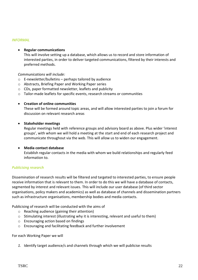#### *INFORMAL*

#### **Regular communications**

This will involve setting up a database, which allows us to record and store information of interested parties, in order to deliver targeted communications, filtered by their interests and preferred methods.

#### *Communications will include:*

- $\circ$  E-newsletter/bulletins perhaps tailored by audience
- o Abstracts, Briefing Paper and Working Paper series
- o CDs, paper formatted newsletter, leaflets and publicity
- o Tailor-made leaflets for specific events, research streams or communities

#### **Creation of online communities**

These will be formed around topic areas, and will allow interested parties to join a forum for discussion on relevant research areas

#### **Stakeholder meetings**

Regular meetings held with reference groups and advisory board as above. Plus wider 'interest groups', with whom we will hold a meeting at the start and end of each research project and communicate throughout via the web. This will allow us to widen our engagement.

#### **Media contact database**

Establish regular contacts in the media with whom we build relationships and regularly feed information to.

## *Publicising research*

Dissemination of research results will be filtered and targeted to interested parties, to ensure people receive information that is relevant to them. In order to do this we will have a database of contacts, segmented by interest and relevant issues. This will include our user database (of third sector organisations, policy makers and academics) as well as database of channels and dissemination partners such as infrastructure organisations, membership bodies and media contacts.

Publicising of research will be conducted with the aims of

- o Reaching audience (gaining their attention)
- o Stimulating interest (illustrating why it is interesting, relevant and useful to them)
- o Encouraging action based on findings
- o Encouraging and facilitating feedback and further involvement

#### For each Working Paper we will

*1.* Identify target audience/s and channels through which we will publicise results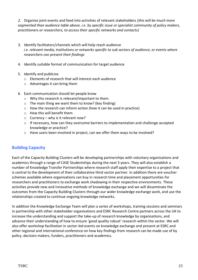*2.* Organise joint events and feed into activities of relevant stakeholders (*this will be much more segmented than audience table above, i.e. by specific issue or specialist community of policy makers, practitioners or researchers, to access their specific networks and contacts)*

- 3. Identify facilitators/channels which will help reach audience *i.e. relevant media, institutions or networks specific to sub sectors of audience, or events where researchers can present their findings*
- 4. Identify suitable format of communication for target audience
- 5. Identify and publicise
	- o Elements of research that will interest each audience
	- o Advantages it can bring them
- 6. Each communication should let people know
	- o Why this research is relevant/important to them
	- o The main thing we want them to know? (key finding)
	- o How the research can inform action (how it can be used in practice)
	- o How this will benefit them
	- $\circ$  Currency why is it relevant now?
	- o If necessary, how can they overcome barriers to implementation and challenge accepted knowledge or practice?
	- o Have users been involved in project, can we offer them ways to be involved?

# **Building Capacity**

Each of the Capacity Building Clusters will be developing partnerships with voluntary organisations and academics through a range of CASE Studentships during the next 3 years. They will also establish a number of Knowledge Transfer Partnerships where research staff apply their expertise to a project that is central to the development of their collaborative third sector partner. In addition there are voucher schemes available where organisations can buy in research time and placement opportunities for researchers and practitioners to exchange work shadowing in their respective environments. These activities provide new and innovative methods of knowledge exchange and we will disseminate the outcomes from the Capacity Building Clusters through our wider knowledge exchange work, and use the relationships created to continue ongoing knowledge networks.

In addition the Knowledge Exchange Team will plan a series of workshops, training sessions and seminars in partnership with other stakeholder organisations and ESRC Research Centre partners across the UK to increase the understanding and support the take-up of research knowledge by organisations, and advance their understanding of how to ensure 'good quality robust' research within the sector. We will also offer workshop facilitation in sector-led events on knowledge exchange and present at ESRC and other regional and international conference on how key findings from research can be made use of by policy, decision makers, funders, practitioners and academics.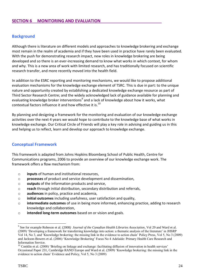## **Background**

Although there is literature on different models and approaches to knowledge brokering and exchange most remain in the realm of academia and if they have been used in practice have rarely been evaluated. With the push for demonstrating research impact, new roles in knowledge brokering are being developed and so there is an ever-increasing demand to know what works in which context, for whom and why. This is a new area of work with limited research, and has traditionally focused on scientific research transfer, and more recently moved into the health field.

In addition to the ESRC reporting and monitoring mechanisms, we would like to propose additional evaluation mechanisms for the knowledge exchange element of TSRC. This is due in part: to the unique nature and opportunity created by establishing a dedicated knowledge exchange resource as part of Third Sector Research Centre; and the widely acknowledged lack of guidance available for planning and evaluating knowledge broker interventions<sup>9</sup> and a lack of knowledge about how it works, what contextual factors influence it and how effective it is.<sup>10</sup>

By planning and designing a framework for the monitoring and evaluation of our knowledge exchange activities over the next 4 years we would hope to contribute to the knowledge base of what works in knowledge exchange. Our Critical Circle of Friends will play a key role in advising and guiding us in this and helping us to reflect, learn and develop our approach to knowledge exchange.

## **Conceptual Framework**

This framework is adapted from Johns Hopkins Bloomberg School of Public Health, Centre for Communications programs, 2006 to provide an overview of our knowledge exchange work. The framework offers a flow mechanism from:

- o **inputs** of human and institutional resources,
- o **processes** of product and service development and dissemination,
- o **outputs** of the information products and service,
- o **reach** through initial distribution, secondary distribution and referrals,
- o **audiences** in policy, practice and academia,
- o **initial outcomes** including usefulness, user satisfaction and quality,
- o **intermediate outcomes** of use in being more informed, enhancing practice, adding to research knowledge and collaboration,
- o **intended long-term outcomes** based on or vision and goals.

<u>.</u>

<sup>9</sup> See for example Robeson et al. (2008*) Journal of the Canadian Health Libraries Association*, Vol 29 and Ward et al. (2009) 'Developing a framework for transferring knowledge into action: a thematic analysis of the literature' in JHSRP Vol 14, No 3, and 'Knowledge brokering: the missing link in the evidence to action chain' Policy Press, Vol 5, No 3 (2009) and Jackson-Bowers et al. (2006) 'Knowledge Brokering' Focus No 4 Adelaide: Primary Health Care Research and Information Service.

 $10$  Conklin et al. (2008) 'Briefing on linkage and exchange: facilitating diffusion of innovation in health services' Occasional Paper 231, Cambridge RAND Europe and Ward et al. (2009) 'Knowledge brokering: the missing link in the evidence to action chain' Evidence and Policy, Vol 5, No 3 (2009)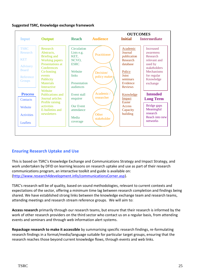

# **Suggested TSRC, Knowledge exchange framework**

# **Ensuring Research Uptake and Use**

This is based on TSRC's Knowledge Exchange and Communications Strategy and Impact Strategy, and work undertaken by DFID on learning lessons on research uptake and use as part of their research communications program, an interactive toolkit and guide is available on: [\(http://www.research4development.info/communicationsCorner.asp\)](http://www.research4development.info/communicationsCorner.asp).

TSRC's research will be of quality, based on sound methodologies, relevant to current contexts and expectations of the sector, offering a minimum time lag between research completion and findings being shared. We have established strong links between the knowledge exchange team and research teams, attending meetings and research stream reference groups. We will aim to:

**Access research** primarily through our research teams, but ensure that their research is informed by the work of other research providers on the third sector who contact us on a regular basis, from attending events and seminars and through web information alert systems.

**Repackage research to make it accessible** by summarising specific research findings, re-formulating research findings in a format/media/language suitable for particular target groups, ensuring that the research reaches those beyond current knowledge flows, through events and web links.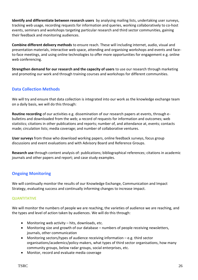**Identify and differentiate between research users** by analysing mailing lists, undertaking user surveys, tracking web usage, recording requests for information and queries, working collaboratively to co-host events, seminars and workshops targeting particular research and third sector communities, gaining their feedback and monitoring audiences.

**Combine different delivery methods** to ensure reach. These will including internet, audio, visual and presentation materials, interactive web space, attending and organising workshops and events and faceto-face meetings, and using online technologies to offer more opportunities for engagement e.g. online web conferencing.

**Strengthen demand for our research and the capacity of users** to use our research through marketing and promoting our work and through training courses and workshops for different communities.

# **Data Collection Methods**

We will try and ensure that data collection is integrated into our work as the knowledge exchange team on a daily basis, we will do this through:

**Routine recording** of our activities e.g. dissemination of our research papers at events, through ebulletins and downloaded from the web; a record of requests for information and outcomes; web statistics; citations in other publications and reports; number of, and attendance at, events; contacts made; circulation lists; media coverage; and number of collaborative ventures.

**User surveys** from those who download working papers, online feedback surveys, focus group discussions and event evaluations and with Advisory Board and Reference Groups.

**Research use** through content analysis of: publications; bibliographical references; citations in academic journals and other papers and report; and case study examples.

# **Ongoing Monitoring**

We will continually monitor the results of our Knowledge Exchange, Communication and Impact Strategy, evaluating success and continually informing changes to increase impact.

## **QUANTITATIVE**

We will monitor the numbers of people we are reaching, the varieties of audience we are reaching, and the types and level of action taken by audiences. We will do this through:

- Monitoring web activity hits, downloads, etc.
- Monitoring size and growth of our database numbers of people receiving newsletters, journals, other communication
- Monitoring sectors/types of audience receiving information e.g. third sector organisations/academics/policy-makers, what types of third sector organisations, how many community groups, below radar groups, social enterprises, etc.
- Monitor, record and evaluate media coverage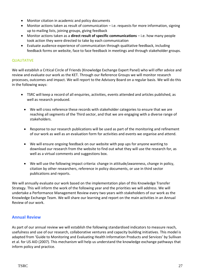- Monitor citation in academic and policy documents
- Monitor actions taken as result of communication i.e. requests for more information, signing up to mailing lists, joining groups, giving feedback
- Monitor actions taken as a **direct result of specific communications** i.e. how many people took action they were directed to take by each communication
- Evaluate audience experience of communication through qualitative feedback, including feedback forms on website, face to face feedback in meetings and through stakeholder groups.

## **QUALITATIVE**

We will establish a Critical Circle of Friends (Knowledge Exchange Expert Panel) who will offer advice and review and evaluate our work as the KET. Through our Reference Groups we will monitor research processes, outcomes and impact. We will report to the Advisory Board on a regular basis. We will do this in the following ways:

- TSRC will keep a record of all enquiries, activities, events attended and articles published, as well as research produced.
	- We will cross reference these records with stakeholder categories to ensure that we are reaching all segments of the Third sector, and that we are engaging with a diverse range of stakeholders.
	- Response to our research publications will be used as part of the monitoring and refinement of our work as well as an evaluation form for activities and events we organise and attend.
	- We will ensure ongoing feedback on our website with pop ups for anyone wanting to download our research from the website to find out what they will use the research for, as well as a virtual comments and suggestions box.
	- We will use the following impact criteria: change in attitude/awareness, change in policy, citation by other researchers, reference in policy documents, or use in third sector publications and reports.

We will annually evaluate our work based on the implementation plan of this Knowledge Transfer Strategy. This will inform the work of the following year and the priorities we will address. We will undertake a Performance Management Review every two years with stakeholders of our work as the Knowledge Exchange Team. We will share our learning and report on the main activities in an Annual Review of our work.

# **Annual Review**

As part of our annual review we will establish the following standardised indicators to measure reach, usefulness and use of our research, collaborative ventures and capacity building initiatives. This model is adapted from 'Guide to Monitoring and Evaluating Health Information Products and Services' by Sullivan et al. for US AID (2007). This mechanism will help us understand the knowledge exchange pathways that inform policy and practice.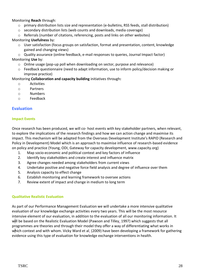Monitoring **Reach** through:

- o primary distribution lists size and representation (e-bulletins, RSS feeds, stall distribution)
- $\circ$  secondary distribution lists (web counts and downloads, media coverage)
- $\circ$  Referrals (number of citations, referencing, posts and links on other websites)

## Monitoring **Usefulness** by:

- $\circ$  User satisfaction (focus groups on satisfaction, format and presentation, content, knowledge gained and changing views)
- o Quality assurance (online feedback, e-mail responses to queries, Journal Impact factor) Monitoring **Use** by:
	- o Online usage (pop-up poll when downloading on sector, purpose and relevance)
	- o Feedback questionnaire (need to adapt information, use to inform policy/decision making or improve practice)

#### Monitoring **Collaboration and capacity building** initiatives through**:**

- o Activities
- o Partners
- o Numbers
- o Feedback

## **Evaluation**

#### **Impact Events**

Once research has been produced, we will co- host events with key stakeholder partners, when relevant, to explore the implications of the research findings and how we can action change and maximise its impact. This mechanism will be adapted from the Overseas Development Institute's RAPID (Research and Policy in Development) Model which is an approach to maximise influence of research-based evidence on policy and practice (Young, ODI, Gateway for capacity development, www.capacity.org)

- 1. Map socio-economic and political context and key factors of influence
- 2. Identify key stakeholders and create interest and influence matrix
- 3. Agree changes needed among stakeholders from current views
- 4. Undertake positive and negative force field analysis and degree of influence over them
- 5. Analysis capacity to effect change
- 6. Establish monitoring and learning framework to oversee actions
- 7. Review extent of impact and change in medium to long term

## **Qualitative Realistic Evaluation**

As part of our Performance Management Evaluation we will undertake a more intensive qualitative evaluation of our knowledge exchange activities every two years. This will be the most resource intensive element of our evaluation, in addition to the evaluation of all our monitoring information. It will be based on the Realistic Evaluation Model (Pawson and Tilley, 1997) which suggests that all programmes are theories and through their model they offer a way of differentiating what works in which context and with whom. Vicky Ward et al. (2009) have been developing a framework for gathering evidence using this type of evaluation for knowledge exchange interventions in health.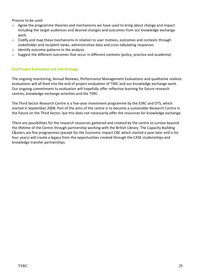Process to be used:

- o Agree the programme theories and mechanisms we have used to bring about change and impact including the target audiences and desired changes and outcomes from our knowledge exchange work
- $\circ$  Codify and map these mechanisms in relation to user motives, outcomes and contexts through stakeholder and recipient views, administrative data and cross tabulating responses
- $\circ$  Identify outcome patterns in the analysis
- o Suggest the different outcomes that occur in different contexts (policy, practice and academia)

## **End Project Evaluation and Exit Strategy**

The ongoing monitoring, Annual Reviews, Performance Management Evaluations and qualitative realistic evaluations will all feed into the end of project evaluation of TSRC and our knowledge exchange work. Our ongoing commitment to evaluation will hopefully offer reflective learning for future research centres, knowledge exchange activities and the TSRC.

The Third Sector Research Centre is a five-year investment programme by the ESRC and OTS, which started in September 2008. Part of the aims of the centre is to become a sustainable Research Centre in the future on the Third Sector, but this does not necessarily offer the resources for knowledge exchange.

There are possibilities for the research resources gathered and created by the centre to survive beyond the lifetime of the Centre through partnership working with the British Library. The Capacity Building Clusters are five programmes (except for the Economic Impact CBC which started a year later and is for four years) will create a legacy from the opportunities created through the CASE studentships and knowledge transfer partnerships.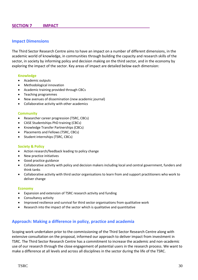## **SECTION 7 IMPACT**

## **Impact Dimensions**

The Third Sector Research Centre aims to have an impact on a number of different dimensions, in the academic world of knowledge, in communities through building the capacity and research skills of the sector, in society by informing policy and decision making on the third sector, and in the economy by exploring the impact of the sector. Key areas of impact are detailed below each dimension:

#### **Knowledge**

- Academic outputs
- Methodological innovation
- Academic training provided through CBCs
- Teaching programmes
- New avenues of dissemination (new academic journal)
- Collaborative activity with other academics

#### **Community**

- Researcher career progression (TSRC, CBCs)
- CASE Studentships PhD training (CBCs)
- Knowledge Transfer Partnerships (CBCs)
- Placements and Fellows (TSRC, CBCs)
- Student internships (TSRC, CBCs)

#### **Society & Policy**

- Action research/feedback leading to policy change
- New practice initiatives
- Good practice guidance
- Collaborative activity with policy and decision makers including local and central government, funders and think tanks
- Collaborative activity with third sector organisations to learn from and support practitioners who work to deliver change

#### **Economy**

- Expansion and extension of TSRC research activity and funding
- Consultancy activity
- Improved resilience and survival for third sector organisations from qualitative work
- Research into the impact of the sector which is qualitative and quantitative

## **Approach: Making a difference in policy, practice and academia**

Scoping work undertaken prior to the commissioning of the Third Sector Research Centre along with extensive consultation on the proposal, informed our approach to deliver impact from investment in TSRC. The Third Sector Research Centre has a commitment to increase the academic and non-academic use of our research through the close engagement of potential users in the research process. We want to make a difference at all levels and across all disciplines in the sector during the life of the TSRC.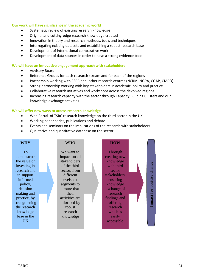#### **Our work will have significance in the academic world**

- Systematic review of existing research knowledge
- Original and cutting-edge research knowledge created
- Innovation in theory and research methods, tools and techniques
- Interrogating existing datasets and establishing a robust research base
- Development of international comparative work
- Development of data sources in order to have a strong evidence base

#### **We will have an innovative engagement approach with stakeholders**

- Advisory Board
- Reference Groups for each research stream and for each of the regions
- Partnership working with ESRC and other research centres (NCRM, NGPA, CGAP, CMPO)
- Strong partnership working with key stakeholders in academic, policy and practice
- Collaborative research initiatives and workshops across the devolved regions
- Increasing research capacity with the sector through Capacity Building Clusters and our knowledge exchange activities

#### **We will offer new ways to access research knowledge**

- Web Portal of TSRC research knowledge on the third sector in the UK
- Working paper series, publications and debate
- Events and seminars on the implications of the research with stakeholders
- Qualitative and quantitative database on the sector

| <b>WHY</b>                                                                                                                                                                                                                  | <b>WHO</b>                                                                                                                                                                                                        | <b>HOW</b>                                                                                                                                                                                                    |                                    |
|-----------------------------------------------------------------------------------------------------------------------------------------------------------------------------------------------------------------------------|-------------------------------------------------------------------------------------------------------------------------------------------------------------------------------------------------------------------|---------------------------------------------------------------------------------------------------------------------------------------------------------------------------------------------------------------|------------------------------------|
| <b>To</b><br>demonstrate<br>the value of<br>investing in<br>research and<br>to support<br>informed<br>policy,<br>decision<br>making and<br>practice, by<br>strengthening<br>the research<br>knowledge<br>base in the<br>UK. | We want to<br>impact on all<br>stakeholders<br>of the third<br>sector, from<br>different<br>levels and<br>segments to<br>ensure that<br>their<br>activities are<br>informed by<br>robust<br>research<br>knowledge | Through<br>creating new<br>knowledge<br>with third<br>sector<br>stakeholders,<br>ensuring<br>knowledge<br>exchange of<br>research<br>findings and<br>offering<br>research<br>which is<br>easily<br>accessible | change<br>positive<br>for<br>mpact |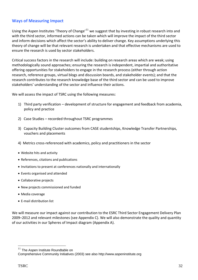# **Ways of Measuring Impact**

Using the Aspen Institutes 'Theory of Change'<sup>11</sup> we suggest that by investing in robust research into and with the third sector, informed actions can be taken which will improve the impact of the third sector and inform decisions which affect the sector's ability to deliver change. Key assumptions underlying this theory of change will be that relevant research is undertaken and that effective mechanisms are used to ensure the research is used by sector stakeholders.

Critical success factors in the research will include: building on research areas which are weak; using methodologically sound approaches; ensuring the research is independent, impartial and authoritative offering opportunities for stakeholders to engage in the research process (either through action research, reference groups, virtual blogs and discussion boards, and stakeholder events); and that the research contributes to the research knowledge base of the third sector and can be used to improve stakeholders' understanding of the sector and influence their actions.

We will assess the impact of TSRC using the following measures:

- 1) Third party verification development of structure for engagement and feedback from academia, policy and practice
- 2) Case Studies recorded throughout TSRC programmes
- 3) Capacity Building Cluster outcomes from CASE studentships, Knowledge Transfer Partnerships, vouchers and placements
- 4) Metrics cross-referenced with academics, policy and practitioners in the sector
- Website hits and activity
- References, citations and publications
- Invitations to present at conferences nationally and internationally
- Events organised and attended
- Collaborative projects
- New projects commissioned and funded
- Media coverage
- E-mail distribution list

We will measure our impact against our contribution to the ESRC Third Sector Engagement Delivery Plan 2009–2012 and relevant milestones (see Appendix C). We will also demonstrate the quality and quantity of our activities in our Spheres of Impact diagram (Appendix A).

<u>.</u>

 $11$  The Aspen Institute Roundtable on

Comprehensive Community Initiatives (2003) see also http://www.aspeninstitute.org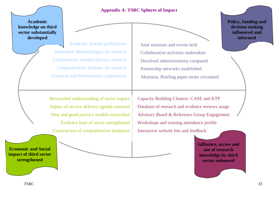**Academic knowledge on third sector substantially developed**

> Academic Journal publications Innovative Methodologies for research Collaborative interdisciplinary research Comprehensive database for research European and International comparisons

Joint seminars and events held Collaborative activities undertaken Devolved administrations compared Partnership networks established Abstracts, Briefing paper series circulated

**Appendix A: TSRC Spheres of Impact**

Researched understanding of sector impact Impact of service delivery agenda assessed New and good practice models researched Evidence base of sector strengthened Construction of comprehensive databases

Capacity Building Clusters: CASE and KTP Database of research and evidence reviews usage Advisory Board & Reference Group Engagement Workshops and training attendance profile Interactive website hits and feedback

> **Influence, access and use of research knowledge by third sector enhanced**

**Policy, funding and decision making influenced and informed**

**Economic and Social impact of third sector strengthened**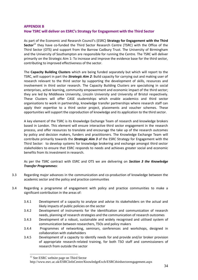## **APPENDIX B How TSRC will deliver on ESRC's Strategy for Engagement with the Third Sector**

As part of the Economic and Research Council's (ESRC) **Strategy for Engagement with the Third Sector**<sup>12</sup> they have co-funded the Third Sector Research Centre (TSRC) with the Office of the Third Sector (OTS) and support from the Barrow Cadbury Trust. The University of Birmingham and the University of Southampton are responsible for running the Centre. The TSRC will deliver primarily on the Strategic Aim 1: To increase and improve the evidence base for the third sector, contributing to improved effectiveness of the sector.

The **Capacity Building Clusters** which are being funded separately but which will report to the TSRC, will support in part the *Strategic Aim 2*: Build capacity for carrying out and making user of research relevant to the third sector by supporting the development of skills, resources and involvement in third sector research. The Capacity Building Clusters are specialising in social enterprises, active learning, community empowerment and economic impact of the third sector; they are led by Middlesex University, Lincoln University and University of Bristol respectively. These Clusters will offer CASE studentships which enable academics and third sector organisations to work in partnership, knowledge transfer partnerships where research staff can apply their expertise to a third sector project, placements and voucher schemes. These opportunities will support the coproduction of knowledge and its application to the third sector.

A key element of the TSRC is its Knowledge Exchange Team of research and knowledge brokers based in London. This element will ensure interactive third sector engagement in the research process, and offer resources to translate and encourage the take up of the research outcomes by policy and decision makers, funders and practitioners. The Knowledge Exchange Team will contribute primarily towards the *Strategic Aim 3* of the ESRC Strategy for Engagement with the Third Sector: to develop systems for knowledge brokering and exchange amongst third sector stakeholders to ensure that ESRC responds to needs and achieves greater social and economic benefits from its investment in research.

As per the TSRC contract with ESRC and OTS we are delivering on *Section 3 the Knowledge Transfer Programmes*:

- 3.3 Regarding major advances in the communication and co-production of knowledge between the academic sector and the policy and practice communities
- 3.4 Regarding a programme of engagement with policy and practice communities to make a significant contribution in the areas of:
	- 3.4.1 Development of a capacity to analyse and advise its stakeholders on the actual and likely impacts of public policies on the sector
	- 3.4.2 Development of instruments for the identification and communication of research needs, planning of research strategies and the communication of research outcomes
	- 3.4.3 Development of a robust, sustainable and widely recognised and utilised system of communication between researchers, TSOs and policy makers
	- 3.4.4 Programmes of networking, seminars, conferences and workshops, designed in collaboration with stakeholders
	- 3.4.5 Development of a capacity to identify needs for and provide and/or broker provision of appropriate research-related training, for both TSO staff and commissioners of research from outside the sector

<u>.</u>

<sup>&</sup>lt;sup>12</sup> See ESRC website page on Third Sector

http://www.esrc.ac.uk/ESRCInfoCentre/KnowledgeExch/ESRCthirdsectorengagement.aspx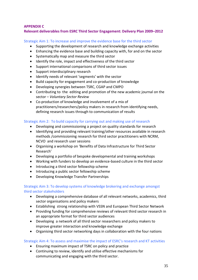## **APPENDIX C**

## **Relevant deliverables from ESRC Third Sector Engagement: Delivery Plan 2009–2012**

Strategic Aim 1: To increase and improve the evidence base for the third sector

- Supporting the development of research and knowledge exchange activities
- Enhancing the evidence base and building capacity with, for and on the sector
- Systematically map and measure the third sector
- Identify the role, impact and effectiveness of the third sector
- Support international comparisons of third sector issues
- Support interdisciplinary research
- Identify needs of relevant 'segments' with the sector
- Build capacity for engagement and co-production of knowledge
- Developing synergies between TSRC, CGAP and CMPO
- Contributing to the editing and promotion of the new academic journal on the sector – *Voluntary Sector Review*
- Co-production of knowledge and involvement of a mix of practitioners/researchers/policy makers in research from identifying needs, defining research issues through to communication of results

## Strategic Aim 2: To build capacity for carrying out and making use of research

- Developing and commissioning a project on quality standards for research
- Identifying and providing relevant training/other resources available in research methods /commissioning research for third sector practitioners with NCRM, NCVO and research user sessions
- Organising a workshop on 'Benefits of Data Infrastructure for Third Sector Research'
- Developing a portfolio of bespoke developmental and training workshops
- Working with funders to develop an evidence-based culture in the third sector
- Introducing a third sector fellowship scheme
- Introducing a public sector fellowship scheme
- Developing Knowledge Transfer Partnerships

## Strategic Aim 3: To develop systems of knowledge brokering and exchange amongst third sector stakeholders

- Developing a comprehensive database of all relevant networks, academics, third sector organisations and policy makers
- Establishing strong relationship with VSSN and European Third Sector Network
- Providing funding for comprehensive reviews of relevant third sector research in an appropriate format for third sector audiences
- Developing a network of all third sector researchers and policy makers to improve greater interaction and knowledge exchange
- Organising third sector networking days in collaboration with the four nations

## Strategic Aim 4: To assess and maximise the impact of ESRC's research and KT activities

- Ensuring maximum impact of TSRC on policy and practice
- Continuing to review, identify and utilise effective mechanisms for communicating and engaging with the third sector.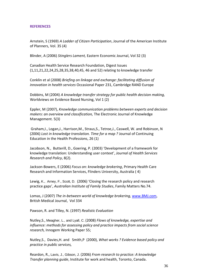#### **REFERENCES**

Arnstein, S (1969) *A Ladder of Citizen Participation*, Journal of the American Institute of Planners, Vol. 35 (4)

Blinder, A (2006) *Stinglers Lament,* Eastern Economic Journal, Vol 32 (3)

Canadian Health Service Research Foundation, Digest Issues (1,11,21,22,24,25,28,35,38,40,45, 46 and 52) relating to knowledge transfer

Conklin et al (2008) *Briefing on linkage and exchange: facilitating diffusion of innovation in health services* Occasional Paper 231, Cambridge RAND Europe

Dobbins, M (2004) *A knowledge transfer strategy for public health decision making,*  Worldviews on Evidence Based Nursing, Vol 1 (2)

Eppler, M (2007), *Knowledge communication problems between experts and decision makers: an overview and classification,* The Electronic Journal of Knowledge Management. 5(3)

Graham,I., Logan,J., Harrison,M., Straus,S., Tetroe,J., Caswell, W. and Robinson, N (2006) *Lost in knowledge translation. Time for a map ?* Journal of Continuing Education in the Health Professions, 26 (1)

Jacobson, N., Butterill, D., Goering, P. (2003) 'Development of a framework for knowledge translation: Understanding user context', *Journal of Health Services Research and Policy*, 8(2).

Jackson-Bowers, E (2006) *Focus on: knowledge brokering*, Primary Health Care Research and Information Services, Flinders University, Australia ( 4)

Lewig, K., Arney, F., Scott, D. (2006) 'Closing the research policy and research practice gaps', *Australian Institute of Family Studies*, Family Matters No.74.

Lomas, J (2007) *The in-between world of knowledge brokering,* [www.BMJ.com,](http://www.bmj.com/) British Medical Journal, Vol 334

Pawson, R. and Tilley, N. (1997) *Realistic Evaluation*

Nutley,S., Meagher, L., and Lyall, C. (2008) *Flows of knowledge, expertise and influence: methods for assessing policy and practice impacts from social science research,* Innogem Working Paper 55;

Nutley,S., [Davies,](http://www.google.co.uk/search?hl=en&q=inauthor:%22H.+T.+O.+Davies%22&sa=X&ei=MjCXTOz7O6CI4gaawoDEBA&ved=0CCIQ9Ag)H. and [Smith,](http://www.google.co.uk/search?hl=en&q=inauthor:%22Peter+C.+Smith%22&sa=X&ei=MjCXTOz7O6CI4gaawoDEBA&ved=0CCMQ9Ag)P (2000), *What works ? Evidence based policy and practice in public services,*

Reardon, R., Lavis, J., Gibson, J. (2006) *From research to practice: A knowledge Transfer planning guide*, Institute for work and health, Toronto, Canada.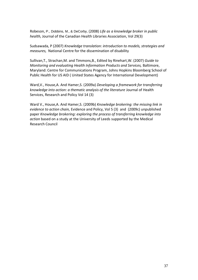Robeson, P., Dobbins, M., & DeCorby, (2008) *Life as a knowledge broker in public health,* Journal of the Canadian Health Libraries Association, Vol 29(3)

Sudsawada, P (2007) *Knowledge translation: introduction to models, strategies and measures,* National Centre for the dissemination of disability

Sullivan,T., Strachan,M. and Timmons,B., Edited by Rinehart,W. (2007) *Guide to Monitoring and evaluating Health Information Products and Services,* Baltimore, Maryland: Centre for Communications Program, Johns Hopkins Bloomberg School of Public Health for US AID ( United States Agency for International Development)

Ward,V., House,A. And Hamer,S. (2009a) *Developing a framework for transferring knowledge into action: a thematic analysis of the literature* Journal of Health Services, Research and Policy Vol 14 (3)

Ward V., House,A. And Hamer,S. (2009b) *Knowledge brokering: the missing link in evidence to action chain,* Evidence and Policy, Vol 5 (3) and (2009c) unpublished paper *Knowledge brokering: exploring the process of transferring knowledge into action* based on a study at the University of Leeds supported by the Medical Research Council